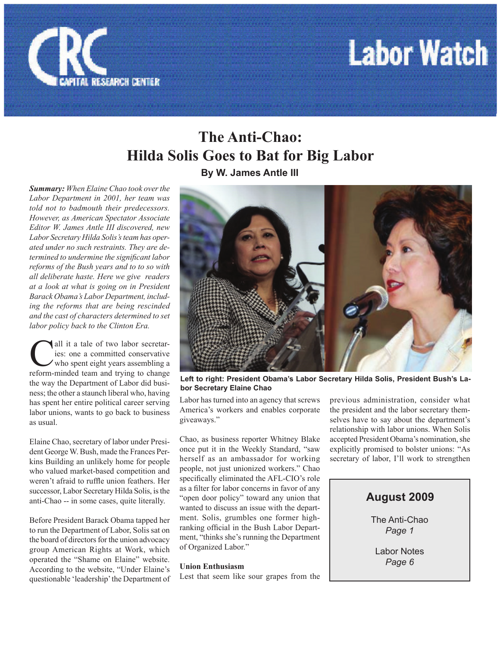

## **Labor Watch**

### **The Anti-Chao: Hilda Solis Goes to Bat for Big Labor**

**By W. James Antle III**

*Summary: When Elaine Chao took over the Labor Department in 2001, her team was told not to badmouth their predecessors. However, as American Spectator Associate Editor W. James Antle III discovered, new Labor Secretary Hilda Solis's team has operated under no such restraints. They are determined to undermine the significant labor reforms of the Bush years and to to so with all deliberate haste. Here we give readers at a look at what is going on in President Barack Obama's Labor Department, including the reforms that are being rescinded and the cast of characters determined to set labor policy back to the Clinton Era.*

all it a tale of two labor secretar-<br>ies: one a committed conservative<br>who spent eight years assembling a<br>reform-minded team and trying to change ies: one a committed conservative who spent eight years assembling a reform-minded team and trying to change the way the Department of Labor did business; the other a staunch liberal who, having has spent her entire political career serving labor unions, wants to go back to business as usual.

Elaine Chao, secretary of labor under President George W. Bush, made the Frances Perkins Building an unlikely home for people who valued market-based competition and weren't afraid to ruffle union feathers. Her successor, Labor Secretary Hilda Solis, is the anti-Chao -- in some cases, quite literally.

Before President Barack Obama tapped her to run the Department of Labor, Solis sat on the board of directors for the union advocacy group American Rights at Work, which operated the "Shame on Elaine" website. According to the website, "Under Elaine's questionable 'leadership' the Department of



**Left to right: President Obama's Labor Secretary Hilda Solis, President Bush's Labor Secretary Elaine Chao**

Labor has turned into an agency that screws America's workers and enables corporate giveaways."

Chao, as business reporter Whitney Blake once put it in the Weekly Standard, "saw herself as an ambassador for working people, not just unionized workers." Chao specifically eliminated the AFL-CIO's role as a filter for labor concerns in favor of any "open door policy" toward any union that wanted to discuss an issue with the department. Solis, grumbles one former highranking official in the Bush Labor Department, "thinks she's running the Department of Organized Labor."

#### **Union Enthusiasm**

Lest that seem like sour grapes from the

previous administration, consider what the president and the labor secretary themselves have to say about the department's relationship with labor unions. When Solis accepted President Obama's nomination, she explicitly promised to bolster unions: "As secretary of labor, I'll work to strengthen

#### **August 2009**

The Anti-Chao *Page 1*

Labor Notes *Page 6*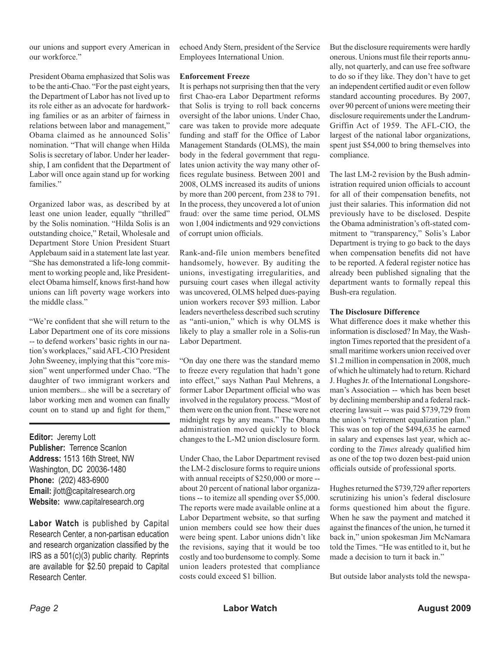our unions and support every American in our workforce."

President Obama emphasized that Solis was to be the anti-Chao. "For the past eight years, the Department of Labor has not lived up to its role either as an advocate for hardworking families or as an arbiter of fairness in relations between labor and management," Obama claimed as he announced Solis' nomination. "That will change when Hilda Solis is secretary of labor. Under her leadership, I am confident that the Department of Labor will once again stand up for working families."

Organized labor was, as described by at least one union leader, equally "thrilled" by the Solis nomination. "Hilda Solis is an outstanding choice," Retail, Wholesale and Department Store Union President Stuart Applebaum said in a statement late last year. "She has demonstrated a life-long commitment to working people and, like Presidentelect Obama himself, knows first-hand how unions can lift poverty wage workers into the middle class."

"We're confident that she will return to the Labor Department one of its core missions -- to defend workers' basic rights in our nation's workplaces," said AFL-CIO President John Sweeney, implying that this "core mission" went unperformed under Chao. "The daughter of two immigrant workers and union members... she will be a secretary of labor working men and women can finally count on to stand up and fight for them,"

**Editor:** Jeremy Lott **Publisher:** Terrence Scanlon **Address:** 1513 16th Street, NW Washington, DC 20036-1480 **Phone:** (202) 483-6900 **Email:** jlott@capitalresearch.org **Website:** www.capitalresearch.org

**Labor Watch** is published by Capital Research Center, a non-partisan education and research organization classified by the IRS as a 501(c)(3) public charity. Reprints are available for \$2.50 prepaid to Capital Research Center.

echoed Andy Stern, president of the Service Employees International Union.

#### **Enforcement Freeze**

It is perhaps not surprising then that the very first Chao-era Labor Department reforms that Solis is trying to roll back concerns oversight of the labor unions. Under Chao, care was taken to provide more adequate funding and staff for the Office of Labor Management Standards (OLMS), the main body in the federal government that regulates union activity the way many other offices regulate business. Between 2001 and 2008, OLMS increased its audits of unions by more than 200 percent, from 238 to 791. In the process, they uncovered a lot of union fraud: over the same time period, OLMS won 1,004 indictments and 929 convictions of corrupt union officials.

Rank-and-file union members benefited handsomely, however. By auditing the unions, investigating irregularities, and pursuing court cases when illegal activity was uncovered, OLMS helped dues-paying union workers recover \$93 million. Labor leaders nevertheless described such scrutiny as "anti-union," which is why OLMS is likely to play a smaller role in a Solis-run Labor Department.

"On day one there was the standard memo to freeze every regulation that hadn't gone into effect," says Nathan Paul Mehrens, a former Labor Department official who was involved in the regulatory process. "Most of them were on the union front. These were not midnight regs by any means." The Obama administration moved quickly to block changes to the L-M2 union disclosure form.

Under Chao, the Labor Department revised the LM-2 disclosure forms to require unions with annual receipts of \$250,000 or more -about 20 percent of national labor organizations -- to itemize all spending over \$5,000. The reports were made available online at a Labor Department website, so that surfing union members could see how their dues were being spent. Labor unions didn't like the revisions, saying that it would be too costly and too burdensome to comply. Some union leaders protested that compliance costs could exceed \$1 billion.

But the disclosure requirements were hardly onerous. Unions must file their reports annually, not quarterly, and can use free software to do so if they like. They don't have to get an independent certified audit or even follow standard accounting procedures. By 2007, over 90 percent of unions were meeting their disclosure requirements under the Landrum-Griffin Act of 1959. The AFL-CIO, the largest of the national labor organizations, spent just \$54,000 to bring themselves into compliance.

The last LM-2 revision by the Bush administration required union officials to account for all of their compensation benefits, not just their salaries. This information did not previously have to be disclosed. Despite the Obama administration's oft-stated commitment to "transparency," Solis's Labor Department is trying to go back to the days when compensation benefits did not have to be reported. A federal register notice has already been published signaling that the department wants to formally repeal this Bush-era regulation.

#### **The Disclosure Difference**

What difference does it make whether this information is disclosed? In May, the Washington Times reported that the president of a small maritime workers union received over \$1.2 million in compensation in 2008, much of which he ultimately had to return. Richard J. Hughes Jr. of the International Longshoreman's Association -- which has been beset by declining membership and a federal racketeering lawsuit -- was paid \$739,729 from the union's "retirement equalization plan." This was on top of the \$494,635 he earned in salary and expenses last year, which according to the *Times* already qualified him as one of the top two dozen best-paid union officials outside of professional sports.

Hughes returned the \$739,729 after reporters scrutinizing his union's federal disclosure forms questioned him about the figure. When he saw the payment and matched it against the finances of the union, he turned it back in," union spokesman Jim McNamara told the Times. "He was entitled to it, but he made a decision to turn it back in."

But outside labor analysts told the newspa-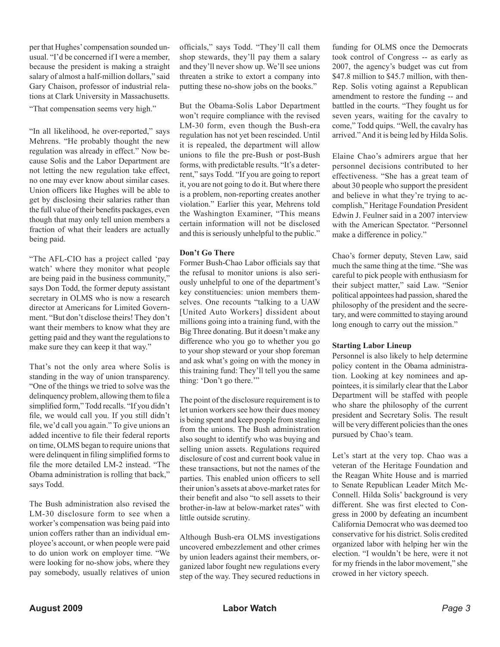per that Hughes' compensation sounded unusual. "I'd be concerned if I were a member, because the president is making a straight salary of almost a half-million dollars," said Gary Chaison, professor of industrial relations at Clark University in Massachusetts.

"That compensation seems very high."

"In all likelihood, he over-reported," says Mehrens. "He probably thought the new regulation was already in effect." Now because Solis and the Labor Department are not letting the new regulation take effect, no one may ever know about similar cases. Union officers like Hughes will be able to get by disclosing their salaries rather than the full value of their benefits packages, even though that may only tell union members a fraction of what their leaders are actually being paid.

"The AFL-CIO has a project called 'pay watch' where they monitor what people are being paid in the business community," says Don Todd, the former deputy assistant secretary in OLMS who is now a research director at Americans for Limited Government. "But don't disclose theirs! They don't want their members to know what they are getting paid and they want the regulations to make sure they can keep it that way."

That's not the only area where Solis is standing in the way of union transparency. "One of the things we tried to solve was the delinquency problem, allowing them to file a simplified form," Todd recalls. "If you didn't file, we would call you. If you still didn't file, we'd call you again." To give unions an added incentive to file their federal reports on time, OLMS began to require unions that were delinquent in filing simplified forms to file the more detailed LM-2 instead. "The Obama administration is rolling that back," says Todd.

The Bush administration also revised the LM-30 disclosure form to see when a worker's compensation was being paid into union coffers rather than an individual employee's account, or when people were paid to do union work on employer time. "We were looking for no-show jobs, where they pay somebody, usually relatives of union

officials," says Todd. "They'll call them shop stewards, they'll pay them a salary and they'll never show up. We'll see unions threaten a strike to extort a company into putting these no-show jobs on the books."

But the Obama-Solis Labor Department won't require compliance with the revised LM-30 form, even though the Bush-era regulation has not yet been rescinded. Until it is repealed, the department will allow unions to file the pre-Bush or post-Bush forms, with predictable results. "It's a deterrent," says Todd. "If you are going to report it, you are not going to do it. But where there is a problem, non-reporting creates another violation." Earlier this year, Mehrens told the Washington Examiner, "This means certain information will not be disclosed and this is seriously unhelpful to the public."

#### **Don't Go There**

Former Bush-Chao Labor officials say that the refusal to monitor unions is also seriously unhelpful to one of the department's key constituencies: union members themselves. One recounts "talking to a UAW [United Auto Workers] dissident about millions going into a training fund, with the Big Three donating. But it doesn't make any difference who you go to whether you go to your shop steward or your shop foreman and ask what's going on with the money in this training fund: They'll tell you the same thing: 'Don't go there.'"

The point of the disclosure requirement is to let union workers see how their dues money is being spent and keep people from stealing from the unions. The Bush administration also sought to identify who was buying and selling union assets. Regulations required disclosure of cost and current book value in these transactions, but not the names of the parties. This enabled union officers to sell their union's assets at above-market rates for their benefit and also "to sell assets to their brother-in-law at below-market rates" with little outside scrutiny.

Although Bush-era OLMS investigations uncovered embezzlement and other crimes by union leaders against their members, organized labor fought new regulations every step of the way. They secured reductions in

funding for OLMS once the Democrats took control of Congress -- as early as 2007, the agency's budget was cut from \$47.8 million to \$45.7 million, with then-Rep. Solis voting against a Republican amendment to restore the funding -- and battled in the courts. "They fought us for seven years, waiting for the cavalry to come," Todd quips. "Well, the cavalry has arrived." And it is being led by Hilda Solis.

Elaine Chao's admirers argue that her personnel decisions contributed to her effectiveness. "She has a great team of about 30 people who support the president and believe in what they're trying to accomplish," Heritage Foundation President Edwin J. Feulner said in a 2007 interview with the American Spectator. "Personnel make a difference in policy."

Chao's former deputy, Steven Law, said much the same thing at the time. "She was careful to pick people with enthusiasm for their subject matter," said Law. "Senior political appointees had passion, shared the philosophy of the president and the secretary, and were committed to staying around long enough to carry out the mission."

#### **Starting Labor Lineup**

Personnel is also likely to help determine policy content in the Obama administration. Looking at key nominees and appointees, it is similarly clear that the Labor Department will be staffed with people who share the philosophy of the current president and Secretary Solis. The result will be very different policies than the ones pursued by Chao's team.

Let's start at the very top. Chao was a veteran of the Heritage Foundation and the Reagan White House and is married to Senate Republican Leader Mitch Mc-Connell. Hilda Solis' background is very different. She was first elected to Congress in 2000 by defeating an incumbent California Democrat who was deemed too conservative for his district. Solis credited organized labor with helping her win the election. "I wouldn't be here, were it not for my friends in the labor movement," she crowed in her victory speech.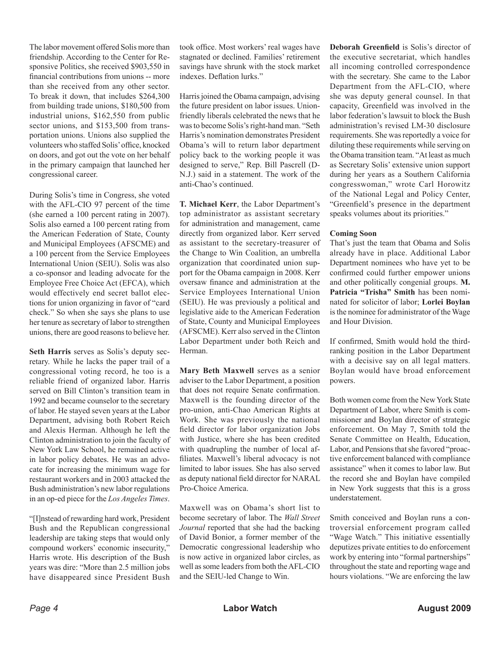The labor movement offered Solis more than friendship. According to the Center for Responsive Politics, she received \$903,550 in financial contributions from unions -- more than she received from any other sector. To break it down, that includes \$264,300 from building trade unions, \$180,500 from industrial unions, \$162,550 from public sector unions, and \$153,500 from transportation unions. Unions also supplied the volunteers who staffed Solis' office, knocked on doors, and got out the vote on her behalf in the primary campaign that launched her congressional career.

During Solis's time in Congress, she voted with the AFL-CIO 97 percent of the time (she earned a 100 percent rating in 2007). Solis also earned a 100 percent rating from the American Federation of State, County and Municipal Employees (AFSCME) and a 100 percent from the Service Employees International Union (SEIU). Solis was also a co-sponsor and leading advocate for the Employee Free Choice Act (EFCA), which would effectively end secret ballot elections for union organizing in favor of "card check." So when she says she plans to use her tenure as secretary of labor to strengthen unions, there are good reasons to believe her.

**Seth Harris** serves as Solis's deputy secretary. While he lacks the paper trail of a congressional voting record, he too is a reliable friend of organized labor. Harris served on Bill Clinton's transition team in 1992 and became counselor to the secretary of labor. He stayed seven years at the Labor Department, advising both Robert Reich and Alexis Herman. Although he left the Clinton administration to join the faculty of New York Law School, he remained active in labor policy debates. He was an advocate for increasing the minimum wage for restaurant workers and in 2003 attacked the Bush administration's new labor regulations in an op-ed piece for the *Los Angeles Times*.

"[I]nstead of rewarding hard work, President Bush and the Republican congressional leadership are taking steps that would only compound workers' economic insecurity," Harris wrote. His description of the Bush years was dire: "More than 2.5 million jobs have disappeared since President Bush

took office. Most workers' real wages have stagnated or declined. Families' retirement savings have shrunk with the stock market indexes. Deflation lurks."

Harris joined the Obama campaign, advising the future president on labor issues. Unionfriendly liberals celebrated the news that he was to become Solis's right-hand man. "Seth Harris's nomination demonstrates President Obama's will to return labor department policy back to the working people it was designed to serve," Rep. Bill Pascrell (D-N.J.) said in a statement. The work of the anti-Chao's continued.

**T. Michael Kerr**, the Labor Department's top administrator as assistant secretary for administration and management, came directly from organized labor. Kerr served as assistant to the secretary-treasurer of the Change to Win Coalition, an umbrella organization that coordinated union support for the Obama campaign in 2008. Kerr oversaw finance and administration at the Service Employees International Union (SEIU). He was previously a political and legislative aide to the American Federation of State, County and Municipal Employees (AFSCME). Kerr also served in the Clinton Labor Department under both Reich and Herman.

**Mary Beth Maxwell** serves as a senior adviser to the Labor Department, a position that does not require Senate confirmation. Maxwell is the founding director of the pro-union, anti-Chao American Rights at Work. She was previously the national field director for labor organization Jobs with Justice, where she has been credited with quadrupling the number of local affiliates. Maxwell's liberal advocacy is not limited to labor issues. She has also served as deputy national field director for NARAL Pro-Choice America.

Maxwell was on Obama's short list to become secretary of labor. The *Wall Street Journal* reported that she had the backing of David Bonior, a former member of the Democratic congressional leadership who is now active in organized labor circles, as well as some leaders from both the AFL-CIO and the SEIU-led Change to Win.

**Deborah Greenfield** is Solis's director of the executive secretariat, which handles all incoming controlled correspondence with the secretary. She came to the Labor Department from the AFL-CIO, where she was deputy general counsel. In that capacity, Greenfield was involved in the labor federation's lawsuit to block the Bush administration's revised LM-30 disclosure requirements. She was reportedly a voice for diluting these requirements while serving on the Obama transition team. "At least as much as Secretary Solis' extensive union support during her years as a Southern California congresswoman," wrote Carl Horowitz of the National Legal and Policy Center, "Greenfield's presence in the department speaks volumes about its priorities."

#### **Coming Soon**

That's just the team that Obama and Solis already have in place. Additional Labor Department nominees who have yet to be confirmed could further empower unions and other politically congenial groups. **M. Patricia "Trisha" Smith** has been nominated for solicitor of labor; **Lorlei Boylan** is the nominee for administrator of the Wage and Hour Division.

If confirmed, Smith would hold the thirdranking position in the Labor Department with a decisive say on all legal matters. Boylan would have broad enforcement powers.

Both women come from the New York State Department of Labor, where Smith is commissioner and Boylan director of strategic enforcement. On May 7, Smith told the Senate Committee on Health, Education, Labor, and Pensions that she favored "proactive enforcement balanced with compliance assistance" when it comes to labor law. But the record she and Boylan have compiled in New York suggests that this is a gross understatement.

Smith conceived and Boylan runs a controversial enforcement program called "Wage Watch." This initiative essentially deputizes private entities to do enforcement work by entering into "formal partnerships" throughout the state and reporting wage and hours violations. "We are enforcing the law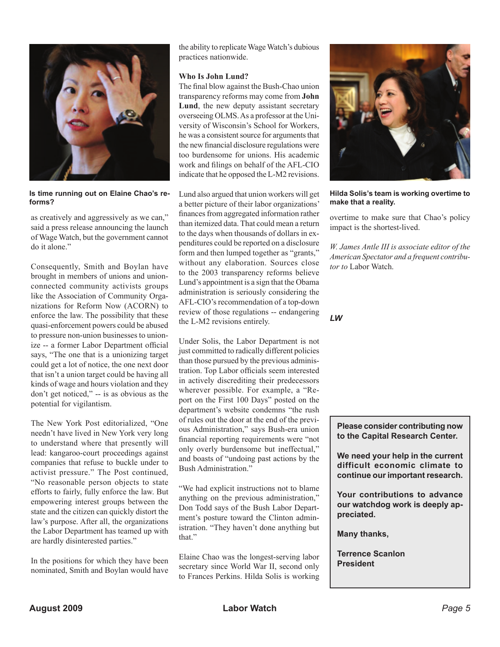

**Is time running out on Elaine Chao's reforms?**

as creatively and aggressively as we can," said a press release announcing the launch of Wage Watch, but the government cannot do it alone."

Consequently, Smith and Boylan have brought in members of unions and unionconnected community activists groups like the Association of Community Organizations for Reform Now (ACORN) to enforce the law. The possibility that these quasi-enforcement powers could be abused to pressure non-union businesses to unionize -- a former Labor Department official says, "The one that is a unionizing target could get a lot of notice, the one next door that isn't a union target could be having all kinds of wage and hours violation and they don't get noticed," -- is as obvious as the potential for vigilantism.

The New York Post editorialized, "One needn't have lived in New York very long to understand where that presently will lead: kangaroo-court proceedings against companies that refuse to buckle under to activist pressure." The Post continued, "No reasonable person objects to state efforts to fairly, fully enforce the law. But empowering interest groups between the state and the citizen can quickly distort the law's purpose. After all, the organizations the Labor Department has teamed up with are hardly disinterested parties."

In the positions for which they have been nominated, Smith and Boylan would have

the ability to replicate Wage Watch's dubious practices nationwide.

#### **Who Is John Lund?**

The final blow against the Bush-Chao union transparency reforms may come from **John Lund**, the new deputy assistant secretary overseeing OLMS. As a professor at the University of Wisconsin's School for Workers, he was a consistent source for arguments that the new financial disclosure regulations were too burdensome for unions. His academic work and filings on behalf of the AFL-CIO indicate that he opposed the L-M2 revisions.

Lund also argued that union workers will get a better picture of their labor organizations' finances from aggregated information rather than itemized data. That could mean a return to the days when thousands of dollars in expenditures could be reported on a disclosure form and then lumped together as "grants," without any elaboration. Sources close to the 2003 transparency reforms believe Lund's appointment is a sign that the Obama administration is seriously considering the AFL-CIO's recommendation of a top-down review of those regulations -- endangering the L-M2 revisions entirely.

Under Solis, the Labor Department is not just committed to radically different policies than those pursued by the previous administration. Top Labor officials seem interested in actively discrediting their predecessors wherever possible. For example, a "Report on the First 100 Days" posted on the department's website condemns "the rush of rules out the door at the end of the previous Administration," says Bush-era union financial reporting requirements were "not only overly burdensome but ineffectual," and boasts of "undoing past actions by the Bush Administration."

"We had explicit instructions not to blame anything on the previous administration," Don Todd says of the Bush Labor Department's posture toward the Clinton administration. "They haven't done anything but that."

Elaine Chao was the longest-serving labor secretary since World War II, second only to Frances Perkins. Hilda Solis is working



**Hilda Solis's team is working overtime to make that a reality.**

overtime to make sure that Chao's policy impact is the shortest-lived.

*W. James Antle III is associate editor of the American Spectator and a frequent contributor to* Labor Watch.

*LW*

**Please consider contributing now to the Capital Research Center.** 

**We need your help in the current difficult economic climate to continue our important research.**

**Your contributions to advance our watchdog work is deeply appreciated.**

**Many thanks,**

**Terrence Scanlon President**